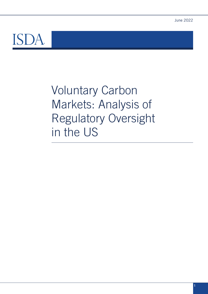

Voluntary Carbon Markets: Analysis of Regulatory Oversight in the US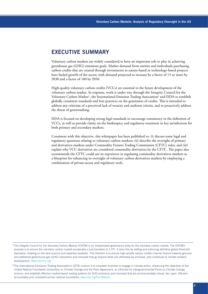## **EXECUTIVE SUMMARY**

Voluntary carbon markets are widely considered to have an important role to play in achieving greenhouse gas (GHG) emissions goals. Market demand from entities and individuals purchasing carbon credits that are created through investments in nature-based or technology-based projects have fueled growth of the sector, with demand projected to increase by a factor of 15 or more by 2030 and a factor of 100 by 2050.

High-quality voluntary carbon credits (VCCs) are essential to the future development of the voluntary carbon market. In response, work is under way through the Integrity Council for the Voluntary Carbon Market<sup>1</sup>, the International Emission Trading Association<sup>2</sup> and ISDA to establish globally consistent standards and best practices on the generation of credits. This is intended to address any criticism of a perceived lack of veracity and uniform criteria, and to proactively address the threat of greenwashing.

ISDA is focused on developing strong legal standards to encourage consistency in the definition of VCCs, as well as provide clarity on the bankruptcy and regulatory treatment in key jurisdictions for both primary and secondary markets.

Consistent with this objective, this whitepaper has been published to: (i) discuss some legal and regulatory questions relating to voluntary carbon markets; (ii) describe the oversight of primary and derivatives markets under Commodity Futures Trading Commission (CFTC) rules; and (iii) explain why VCC derivatives are considered commodity derivatives by the CFTC. The paper also recommends the CFTC could use its experience in regulating commodity derivatives markets as a blueprint for enhancing its oversight of voluntary carbon derivatives markets by employing a combination of private-sector and regulatory tools.

<sup>1</sup>The Integrity Council for the Voluntary Carbon Market (ICVCM) is an independent governance body for the voluntary carbon market. The ICVCM's purpose is to ensure the voluntary carbon market accelerates a just transition to 1.5ºC. It does this by setting and enforcing definitive global threshold standards, drawing on the best science and expertise available. The intention is to ensure high-quality carbon credits channel finance towards genuine and additional greenhouse gas (GHG) reductions and removals that go beyond what can otherwise be achieved, and contribute to climate resilient development,<https://icvcm.org/>

<sup>&</sup>lt;sup>2</sup>The International Emissions Trading Association's (IETA) mission is to empower business to engage in climate action, advancing the objectives of the United Nations Framework Convention on Climate Change and the Paris Agreement, as informed by Intergovernmental Panel on Climate Change science, and establish effective market-based trading systems for GHG emissions and removals that are environmentally robust, fair, open, efficient, accountable and consistent across national boundaries, [www.ieta.org/Our-Mission](http://www.ieta.org/Our-Mission)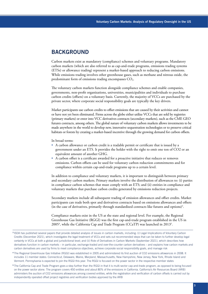## **BACKGROUND**

Carbon markets exist as mandatory (compliance) schemes and voluntary programs. Mandatory carbon markets (which are also referred to as cap-and-trade programs, emissions trading systems (ETSs) or allowance trading) represent a market-based approach to reducing carbon emissions. While emissions trading involves other greenhouse gases, such as methane and nitrous oxide, the predominant form of emissions trading encompasses CO<sub>2</sub>.

The voluntary carbon markets function alongside compliance schemes and enable companies, governments, non-profit organizations, universities, municipalities and individuals to purchase carbon credits (offsets) on a voluntary basis. Currently, the majority of VCCs are purchased by the private sector, where corporate social responsibility goals are typically the key drivers.

Market participants use carbon credits to offset emissions that are caused by their activities and cannot or have not yet been eliminated. Firms across the globe either utilize VCCs that are sold by registries (primary markets) or enter into VCC derivatives contracts (secondary markets), such as the CME GEO futures contracts, among others. The global nature of voluntary carbon markets allows investments to be made anywhere in the world to develop new, innovative sequestration technologies or to preserve critical habitats or forests by creating a market-based incentive through the growing demand for carbon offsets.

In broad terms:

- A carbon allowance or carbon credit is a tradable permit or certificate that is issued by a government under an ETS. It provides the holder with the right to emit one ton of CO2 or an equivalent amount of another GHG.
- A carbon offset is a certificate awarded for a proactive initiative that reduces or removes emissions. Carbon offsets can be used for voluntary carbon reduction commitments and for compliance within certain cap-and-trade programs up to a certain level.

In addition to compliance and voluntary markets, it is important to distinguish between primary and secondary carbon markets. Primary markets involve the distribution of allowances to: (i) parties in compliance carbon schemes that must comply with an ETS; and (ii) entities in compliance and voluntary markets that purchase carbon credits generated by emissions reduction projects.

Secondary markets include all subsequent trading of emission allowances and offset credits. Market participants can trade both spot and derivatives contracts based on emissions allowances and offsets (in the case of derivatives, primarily through standardized contracts like futures and options)3 .

Compliance markets exist in the US at the state and regional level. For example, the Regional Greenhouse Gas Initiative (RGGI) was the first cap-and-trade program established in the US in  $2005^4$ , while the California Cap and Trade Program (CCaTP) was launched in 2013 $^5$ .

- <sup>4</sup>The Regional Greenhouse Gas Initiative (RGGI) was established in 2005 and administered its first auction of CO2 emissions allowances in 2008. It includes 11 member states: Connecticut, Delaware, Maine, Maryland, Massachusetts, New Hampshire, New Jersey, New York, Rhode Island and Vermont. Pennsylvania is expected to join the RGGI this year. The RGGI is focused on the power sector in the respective member states
- <sup>5</sup>The California Cap and Trade Program goes a step further than the RGGI in that it is multi-sector cap-and-trade program, as opposed to being focused on the power sector alone. The program covers 450 entities and about 80% of the emissions in California. California's Air Resources Board (ARB) administers the auction of CO2 emissions allowances among covered entities, while the registration and verification of carbon offsets is carried out by independently operated offset project registries and verification bodies approved by the ARB

<sup>3</sup>ISDA has published several papers that provide detailed analysis of issues in carbon markets, including: (i) Legal Implications of Voluntary Carbon Credits (December 2021), which investigates the legal treatment of VCCs and sets out recommended steps that can be taken to further develop legal certainty in VCCs at both a global and jurisdictional level; and (ii) Role of Derivatives in Carbon Markets (September 2021), which describes how derivatives function in carbon markets – in particular, exchange-traded and over-the-counter carbon derivatives – and explains how carbon markets and carbon derivatives are used by firms to meet compliance objectives, achieve corporate social responsibility goals, and manage risk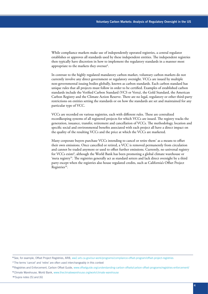While compliance markets make use of independently operated registries, a central regulator establishes or approves all standards used by these independent entities. The independent registries then typically have discretion in how to implement the regulatory standards in a manner most appropriate to the markets they oversee<sup>6</sup>.

In contrast to the highly regulated mandatory carbon market, voluntary carbon markets do not currently involve any direct government or regulatory oversight. VCCs are issued by multiple non-governmental issuing bodies globally, known as carbon standards. Each carbon standard has unique rules that all projects must follow in order to be certified. Examples of established carbon standards include the Verified Carbon Standard (VCS or Verra), the Gold Standard, the American Carbon Registry and the Climate Action Reserve. There are no legal, regulatory or other third-party restrictions on entities setting the standards or on how the standards are set and maintained for any particular type of VCC.

VCCs are recorded on various registries, each with different rules. These are centralized recordkeeping systems of all registered projects for which VCCs are issued. The registry tracks the generation, issuance, transfer, retirement and cancellation of VCCs. The methodology, location and specific social and environmental benefits associated with each project all have a direct impact on the quality of the resulting VCCs and the price at which the VCCs are marketed.

Many corporate buyers purchase VCCs intending to cancel or retire them<sup>7</sup> as a means to offset their own emissions. Once cancelled or retired, a VCC is removed permanently from circulation and cannot be traded anymore or used to offset further emissions. Currently, no universal registry for VCCs exists<sup>8</sup>, although the World Bank has been promoting a global climate warehouse or 'meta registry'<sup>9</sup>. The registries generally act as standard setters and lack direct oversight by a third party except when the registries also house regulated credits, such as California's Offset Project Registries<sup>10</sup>.

<sup>6</sup>See, for example, Offset Project Registries, ARB, [ww2.arb.ca.gov/our-work/programs/compliance-offset-program/offset-project-registries](https://ww2.arb.ca.gov/our-work/programs/compliance-offset-program/offset-project-registries)

<sup>7</sup>The terms 'cancel' and 'retire' are often used interchangeably in this context

<sup>8</sup>Registries and Enforcement, Carbon Offset Guide, [www.offsetguide.org/understanding-carbon-offsets/carbon-offset-programs/registries-enforcement/](http://www.offsetguide.org/understanding-carbon-offsets/carbon-offset-programs/registries-enforcement/)

<sup>9</sup>Climate Warehouse, World Bank, [www.theclimatewarehouse.org/work/climate-warehouse](http://www.theclimatewarehouse.org/work/climate-warehouse)

<sup>10</sup> Supra notes [5] and [6]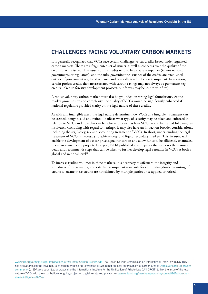# **CHALLENGES FACING VOLUNTARY CARBON MARKETS**

It is generally recognized that VCCs face certain challenges versus credits issued under regulated carbon markets. There are a fragmented set of issuers, as well as concerns over the quality of the credits that are issued. The issuers of the credits tend to be private companies (ie, not national governments or regulators), and the rules governing the issuance of the credits are established outside of government regulated schemes and generally tend to be less transparent. In addition, certain project credits that are associated with carbon savings may not always be permanent (eg, credits linked to forestry development projects, but forests may be lost to wildfires).

A robust voluntary carbon market must also be grounded on strong legal foundations. As the market grows in size and complexity, the quality of VCCs would be significantly enhanced if national regulators provided clarity on the legal nature of these credits.

As with any intangible asset, the legal nature determines how VCCs as a fungible instrument can be created, bought, sold and retired. It affects what type of security may be taken and enforced in relation to VCCs and how that can be achieved, as well as how VCCs would be treated following an insolvency (including with regard to netting). It may also have an impact on broader considerations, including the regulatory, tax and accounting treatment of VCCs. In short, understanding the legal treatment of VCCs is necessary to achieve deep and liquid secondary markets. This, in turn, will enable the development of a clear price signal for carbon and allow funds to be efficiently channeled to emissions-reducing projects. Last year, ISDA published a whitepaper that explores these issues in detail and recommends steps that can be taken to further develop legal certainty in VCCs at both a global and national level<sup>11</sup>.

To increase trading volumes in these markets, it is necessary to safeguard the integrity and soundness of the registries, and establish transparent standards for eliminating double counting of credits to ensure these credits are not claimed by multiple parties once applied or retired.

<sup>11</sup>[www.isda.org/a/38ngE/Legal-Implications-of-Voluntary-Carbon-Credits.pdf](http://www.isda.org/a/38ngE/Legal-Implications-of-Voluntary-Carbon-Credits.pdf). The United Nations Commission on International Trade Law (UNCITRAL) has also addressed the legal nature of carbon credits and referenced ISDA's paper on legal enforceability of carbon credits ([https://uncitral.un.org/en/](https://uncitral.un.org/en/commission) [commission\)](https://uncitral.un.org/en/commission). ISDA also submitted a proposal to the International Institute for the Unification of Private Law (UNIDROIT) to link the issue of the legal nature of VCCs with the organization's ongoing project on digital assets and private law, [www.unidroit.org/meetings/governing-council/101st-session](http://www.unidroit.org/meetings/governing-council/101st-session-rome-8-10-june-2022-2/)[rome-8-10-june-2022-2/](http://www.unidroit.org/meetings/governing-council/101st-session-rome-8-10-june-2022-2/)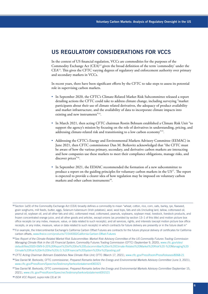# **US REGULATORY CONSIDERATIONS FOR VCCS**

In the context of US financial regulation, VCCs are commodities for the purposes of the Commodity Exchange Act (CEA)<sup>12</sup> given the broad definition of the term 'commodity' under the CEA13. This gives the CFTC varying degrees of regulatory and enforcement authority over primary and secondary markets in VCCs.

In recent years, there have been significant efforts by the CFTC to take steps to assess its potential role in supervising carbon markets.

- In September 2020, the CFTC's Climate-Related Market Risk Subcommittee released a report detailing actions the CFTC could take to address climate change, including surveying "market participants about their use of climate related derivatives, the adequacy of product availability and market infrastructure, and the availability of data to incorporate climate impacts into existing and new instruments"<sup>14</sup>.
- In March 2021, then acting CFTC chairman Rostin Behnam established a Climate Risk Unit "to support the agency's mission by focusing on the role of derivatives in understanding, pricing, and addressing climate-related risk and transitioning to a low carbon economy"15.
- Addressing the CFTC's Energy and Environmental Markets Advisory Committee (EEMAC) in June 2021, then CFTC commissioner Dan M. Berkovitz acknowledged that "the CFTC must be aware of how the various primary, secondary, and derivative carbon markets are interacting and how companies use these markets to meet their compliance obligations, manage risks, and discover prices"<sup>16</sup>.
- In September 2021, the EEMAC recommended the formation of a new subcommittee to produce a report on the guiding principles for voluntary carbon markets in the US<sup>17</sup>. The report is expected to provide a clearer idea of how regulation may be imposed on voluntary carbon markets and other carbon instruments<sup>18</sup>.

<sup>&</sup>lt;sup>12</sup> Section 1a(9) of the Commodity Exchange Act (CEA) broadly defines a commodity to mean "wheat, cotton, rice, corn, oats, barley, rye, flaxseed, grain sorghums, mill feeds, butter, eggs, Solanum tuberosum (Irish potatoes), wool, wool tops, fats and oils (including lard, tallow, cottonseed oil, peanut oil, soybean oil, and all other fats and oils), cottonseed meal, cottonseed, peanuts, soybeans, soybean meal, livestock, livestock products, and frozen concentrated orange juice, and all other goods and articles, except onions (as provided by section 13–1 of this title) and motion picture box office receipts (or any index, measure, value, or data related to such receipts), and all services, rights, and interests (except motion picture box office receipts, or any index, measure, value or data related to such receipts) in which contracts for future delivery are presently or in the future dealt in"

<sup>13</sup> For example, the Intercontinental Exchange's California Carbon Offset Futures are contracts for the future physical delivery of certificates for California carbon offsets, [www.theice.com/products/71544060/California-Carbon-Offset-Futures](http://www.theice.com/products/71544060/California-Carbon-Offset-Futures)

<sup>14</sup>See *Report of the Climate-Related Market Risk Subcommittee: Market Risk Advisory Committee of the US Commodity Futures Trading Commission Managing Climate Risk in the US Financial System*, Commodity Futures Trading Commission (CFTC) (September 9, 2020), [www.cftc.gov/sites/](http://www.cftc.gov/sites/default/files/2020-09/9-9-20%20Report%20of%20the%20Subcommittee%20on%20Climate-Related%20Market%20Risk%20-%20Managing%20Climate%20Risk%20in%20the%20U.S.%20Financial%20System%20for%20posting.pdf) [default/files/2020-09/9-9-20%20Report%20of%20the%20Subcommittee%20on%20Climate-Related%20Market%20Risk%20-%20Managing%20](http://www.cftc.gov/sites/default/files/2020-09/9-9-20%20Report%20of%20the%20Subcommittee%20on%20Climate-Related%20Market%20Risk%20-%20Managing%20Climate%20Risk%20in%20the%20U.S.%20Financial%20System%20for%20posting.pdf) [Climate%20Risk%20in%20the%20U.S.%20Financial%20System%20for%20posting.pdf](http://www.cftc.gov/sites/default/files/2020-09/9-9-20%20Report%20of%20the%20Subcommittee%20on%20Climate-Related%20Market%20Risk%20-%20Managing%20Climate%20Risk%20in%20the%20U.S.%20Financial%20System%20for%20posting.pdf)

<sup>15</sup>*CFTC Acting Chairman Behnam Establishes New Climate Risk Unit*, CFTC (March 17, 2021), [www.cftc.gov/PressRoom/PressReleases/8368-21](http://www.cftc.gov/PressRoom/PressReleases/8368-21)

<sup>16</sup>See Daniel M. Berkovitz, CFTC commissioner, *Prepared Remarks before the Energy and Environmental Markets Advisory Committee* (June 3, 2021), [www.cftc.gov/PressRoom/SpeechesTestimony/berkovitzstatement060321](http://www.cftc.gov/PressRoom/SpeechesTestimony/berkovitzstatement060321)

<sup>17</sup>See Daniel M. Berkovitz, CFTC commissioner, *Prepared Remarks before the Energy and Environmental Markets Advisory Committee* (September 15, 2021), [www.cftc.gov/PressRoom/SpeechesTestimony/berkovitzstatement091521](http://www.cftc.gov/PressRoom/SpeechesTestimony/berkovitzstatement091521)

<sup>18</sup> *ISDA VCC Report, supra* note [3] at 14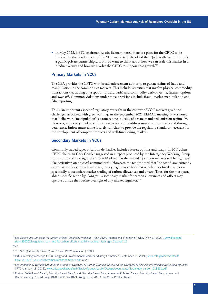• In May 2022, CFTC chairman Rostin Behnam noted there is a place for the CFTC to be involved in the development of the VCC markets<sup>19</sup>. He added that "[w]e really want this to be a public-private partnership… But I do want to think about how we can scale this market in a productive way and how we involve the CFTC to support that growth"20.

### Primary Markets in VCCs

The CEA provides the CFTC with broad enforcement authority to pursue claims of fraud and manipulation in the commodities markets. This includes activities that involve physical commodity transactions (ie, trading on a spot or forward basis) and commodity derivatives (ie, futures, options and swaps)<sup>21</sup>. Common violations under these provisions include fraud, market manipulation and false reporting.

This is an important aspect of regulatory oversight in the context of VCC markets given the challenges associated with greenwashing. At the September 2021 EEMAC meeting, it was noted that "[t]he word 'manipulation' is a touchstone [outside of a state-mandated emission regime]"22. However, as in every market, enforcement actions only address issues retrospectively and through deterrence. Enforcement alone is rarely sufficient to provide the regulatory standards necessary for the development of complex products and well-functioning markets.

### Secondary Markets in VCCs

Commonly traded types of carbon derivatives include futures, options and swaps. In 2011, then CFTC chairman Gary Gensler suggested in a report produced by the Interagency Working Group for the Study of Oversight of Carbon Markets that the secondary carbon markets will be regulated like derivatives on physical commodities<sup>23</sup>. However, the report noted that "no set of laws currently exist that apply a comprehensive regulatory regime – such as that which exists for derivatives – specifically to secondary market trading of carbon allowances and offsets. Thus, for the most part, absent specific action by Congress, a secondary market for carbon allowances and offsets may operate outside the routine oversight of any market regulator."24

<sup>19</sup>See *Regulators Can Help Fix Carbon Offsets' Credibility Problem – ISDA AGM*, International Financing Review (May 11, 2022), [www.ifre.com/](http://www.ifre.com/story/3362021/regulators-can-help-fix-carbon-offsets-credibility-problem-isda-agm-7xjxmpj1b2) [story/3362021/regulators-can-help-fix-carbon-offsets-credibility-problem-isda-agm-7xjxmpj1b2](http://www.ifre.com/story/3362021/regulators-can-help-fix-carbon-offsets-credibility-problem-isda-agm-7xjxmpj1b2)

<sup>20</sup>*Id*

<sup>21</sup>7 U.S.C. §§ 6c(a), 9, 12(a)(5) and 15 and CFTC regulation § 180.1

<sup>22</sup>Virtual meeting transcript, CFTC Energy and Environmental Markets Advisory Committee (September 15, 2021), [www.cftc.gov/sites/default/](http://www.cftc.gov/sites/default/files/2021/09/1633045446/eemactranscript091521.pdf) [files/2021/09/1633045446/eemactranscript091521.pdf](http://www.cftc.gov/sites/default/files/2021/09/1633045446/eemactranscript091521.pdf), at 29

<sup>23</sup>See *Interagency Working Group for the Study of Oversight of Carbon Markets, Report on the Oversight of Existing and Prospective Carbon Markets*, CFTC (January 18, 2011), [www.cftc.gov/sites/default/files/idc/groups/public/@swaps/documents/file/dfstudy\\_carbon\\_011811.pdf](http://www.cftc.gov/sites/default/files/idc/groups/public/@swaps/documents/file/dfstudy_carbon_011811.pdf)

<sup>&</sup>lt;sup>24</sup> Further Definition of 'Swap', 'Security-Based Swap', and 'Security-Based Swap Agreement'; Mixed Swaps; Security-Based Swap Agreement Recordkeeping, 77 Fed. Reg. 48208, 48233 – 48235 (August 12, 2012) (the 2012 Product Rule)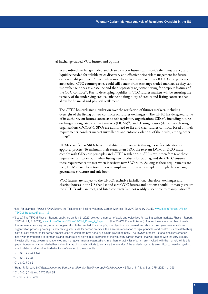#### a) Exchange-traded VCC futures and options

Standardized, exchange-traded and cleared carbon futures can provide the transparency and liquidity needed for reliable price discovery and effective price risk management for future carbon credit purchases<sup>25</sup>. Even when more bespoke over-the-counter (OTC) arrangements are needed, OTC counterparties could still benefit from exchange-traded markets, as they can use exchange prices as a baseline and then separately negotiate pricing for bespoke features of the OTC contract<sup>26</sup>. Key to developing liquidity in VCC futures markets will be ensuring the veracity of the underlying credits, enhancing fungibility of credits and listing contracts that allow for financial and physical settlement.

The CFTC has exclusive jurisdiction over the regulation of futures markets, including oversight of the listing of new contracts on futures exchanges<sup>27</sup>. The CFTC has delegated some of its authority on futures contracts to self-regulatory organizations (SROs), including futures exchanges (designated contract markets (DCMs)<sup>28</sup>) and clearing houses (derivatives clearing organizations  $(DCOs)^{29}$ ). SROs are authorized to list and clear futures contracts based on their requirements, conduct market surveillance and enforce violations of their rules, among other things $30$ .

DCMs classified as SROs have the ability to list contracts through a self-certification or approval process. To maintain their status as an SRO, the relevant DCM or DCO must comply with CEA core principles and CFTC regulations<sup>31</sup>. SROs must therefore take these requirements into account when listing new products for trading, and the CFTC ensures these requirements are met when it reviews new SRO rules. As long as these requirements are met, DCMs have discretion in how to implement the core principles through the exchange's governance structure and rule book.

VCC futures are subject to the CFTC's exclusive jurisdiction. Therefore, exchanges and clearing houses in the US that list and clear VCC futures and options should ultimately ensure the CFTC's rules are met, and listed contracts "are not readily susceptible to manipulation"32.

<sup>27</sup>7 U.S.C. § 2(a)(1)(A)

<sup>28</sup>7 U.S.C. § 7(a)

<sup>29</sup>7 U.S.C. § 7a-1

<sup>30</sup>Heath P. Tarbert, *Self-Regulation in the Derivatives Markets: Stability through Collaboration*, 41 Nw. J. Int'l L. & Bus. 175 (2021), at 193

<sup>31</sup>7 U.S.C. § 7(d) and CFTC Part 38

<sup>32</sup>17 C.F.R. § 38.200

<sup>25</sup>See, for example, *Phase 1 Final Report*, the Taskforce on Scaling Voluntary Carbon Markets (TSVCM) (January 2021), [www.iif.com/Portals/1/Files/](http://www.iif.com/Portals/1/Files/TSVCM_Report.pdf, at 14-15) [TSVCM\\_Report.pdf, at 14-15](http://www.iif.com/Portals/1/Files/TSVCM_Report.pdf, at 14-15)

<sup>&</sup>lt;sup>26</sup> See *id*. The TSVCM Phase II Report, published on July 8, 2021, sets out a number of goals and objectives for scaling carbon markets. Phase II Report, TSVCM (July 8, 2021), [www.iif.com/Portals/1/Files/TSVCM\\_Phase\\_2\\_Report.pdf](http://www.iif.com/Portals/1/Files/TSVCM_Phase_2_Report.pdf) (the TSVCM Phase II Report). Among these are a number of goals that require an existing body or a new organization to be created. For example, one objective is increased and standardized governance, with an organization providing oversight and creating standards for carbon credits. Others are harmonization of legal principles and contracts, and establishing high-quality standards for carbon credits, each of which are best done by a single governing body. The TSVCM proposal is for a global governance body with membership of companies and organizations active in all segments of the voluntary carbon market that will engage with industry groups, investor alliances, government agencies and non-governmental organizations, members or activities of which are involved with the market. While this paper focuses on carbon derivatives rather than spot markets, efforts to enhance the integrity of the underlying credits are critical to guarding against manipulation and fraud for to derivatives referenced to those credits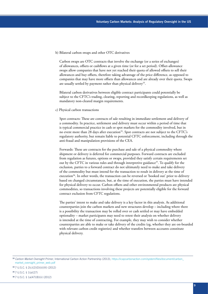b) Bilateral carbon swaps and other OTC derivatives

Carbon swaps are OTC contracts that involve the exchange (or a series of exchanges) of allowances, offsets or cashflows at a given time (or for a set period). Offset-allowance swaps allow companies that have not yet reached their quota of allowed offsets to sell their allowances and buy offsets, therefore taking advantage of the price difference, as opposed to companies that may have more offsets than allowances and are already over their quota. Swaps are usually settled by payment rather than physical delivery<sup>33</sup>.

Bilateral carbon derivatives between eligible contract participants could potentially be subject to the CFTC's trading, clearing, reporting and recordkeeping regulations, as well as mandatory non-cleared margin requirements.

c) Physical carbon transactions

Spot contracts: These are contracts of sale resulting in immediate settlement and delivery of a commodity. In practice, settlement and delivery must occur within a period of time that is typical commercial practice in cash or spot markets for the commodity involved, but in no event more than 28 days after execution<sup>34</sup>. Spot contracts are not subject to the CFTC's regulatory authority, but remain liable to potential CFTC enforcement, including through the anti-fraud and manipulation provisions of the CEA.

Forwards: These are contracts for the purchase and sale of a physical commodity where shipment or delivery is deferred for commercial purposes. Forward contracts are excluded from regulation as futures, options or swaps, provided they satisfy certain requirements set out by the CFTC in various rules and through interpretive guidance<sup>35</sup>. To qualify for the exclusion, parties to a forward contract do not ultimately need to make and take delivery of the commodity but must intend for the transaction to result in delivery at the time of execution<sup>36</sup>. In other words, the transaction can be reversed or 'booked out' prior to delivery based on changed circumstances, but, at the time of execution, the parties must have intended for physical delivery to occur. Carbon offsets and other environmental products are physical commodities, so transactions involving these projects are potentially eligible for the forward contract exclusion from CFTC regulations.

The parties' intent to make and take delivery is a key factor in this analysis. As additional counterparties join the carbon markets and new structures develop – including where there is a possibility the transaction may be rolled over or cash settled or may have embedded optionality – market participants may need to retest their analysis on whether delivery is intended at the time of contracting. For example, they may wish to consider whether counterparties are able to make or take delivery of the credits (eg, whether they are on-boarded with relevant carbon credit registries) and whether transfers between accounts constitute physical delivery.

<sup>33</sup>*Carbon Market Oversight Primer*, International Carbon Action Partnership (2013), [https://icapcarbonaction.com/system/files/document/carbon\\_](https://icapcarbonaction.com/system/files/document/carbon_market_oversight_primer_web.pdf) [market\\_oversight\\_primer\\_web.pdf](https://icapcarbonaction.com/system/files/document/carbon_market_oversight_primer_web.pdf)

<sup>34</sup>7 U.S.C. § 2(c)(2)(D)(ii)(III) (2012)

<sup>35</sup>7 U.S.C. § 1(a)(27) <sup>36</sup>7 U.S.C. § 1a(47)(B)(ii) (2012)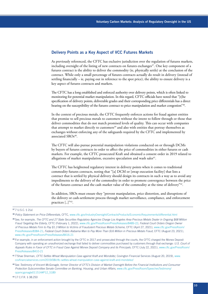### Delivery Points as a Key Aspect of VCC Futures Markets

As previously referenced, the CFTC has exclusive jurisdiction over the regulation of futures markets, including oversight of the listing of new contracts on futures exchanges<sup>37</sup>. One key component of a futures contract is the ability to deliver the commodity (ie, physically settle) at the conclusion of the contract. While only a small percentage of futures contracts actually do result in delivery (instead of settling financially – ie, paying out in reference to the spot price), the ability to ensure delivery is a key aspect of futures contracts and markets.

The CFTC has a long established and enforced authority over delivery points, which is often linked to monitoring for potential market manipulation. In this regard, CFTC officials have noted that "[t]he specification of delivery points, deliverable grades and their corresponding price differentials has a direct bearing on the susceptibility of the futures contract to price manipulation and market congestion"38.

In the context of precious metals, the CFTC frequently enforces actions for fraud against entities that promise to sell precious metals to customers without the intent to follow through or those that deliver commodities that do not match promised levels of quality. This can occur with companies that attempt to market directly to customers<sup>39</sup> and also with entities that portray themselves as exchanges without enforcing any of the safeguards required by the CFTC and implemented by associated SROs<sup>40</sup>.

The CFTC will also pursue potential manipulation violations conducted on or through DCMs by buyers of futures contracts in order to affect the price of commodities in either futures or cash markets. For example, the CFTC prosecuted Kraft and obtained a consent order in 2019 related to allegations of market manipulation, excessive speculation and wash sales<sup>41</sup>.

The CFTC has heightened regulatory interest in delivery points when it comes to traditional commodity futures contracts, noting that "[a] DCM or [swap execution facility] that lists a contract that is settled by physical delivery should design its contracts in such a way as to avoid any impediments to the delivery of the commodity in order to promote convergence between the price of the futures contract and the cash market value of the commodity at the time of delivery"<sup>42</sup>.

In addition, SROs must ensure they "prevent manipulation, price distortion, and disruptions of the delivery or cash-settlement process through market surveillance, compliance, and enforcement practices [..]<sup>"43</sup>.

#### <sup>37</sup>7 U.S.C. § 2(a)

<sup>42</sup>See *Testimony of Vincent McGonagle, former Director of CFTC's Division of Market Oversight Before the Financial Institutions and Consumer Protection Subcommittee Senate Committee on Banking, Housing, and Urban Affairs*, [www.cftc.gov/PressRoom/SpeechesTestimony/](http://www.cftc.gov/PressRoom/SpeechesTestimony/opamcgonagle011514#P12_5189) [opamcgonagle011514#P12\\_5189](http://www.cftc.gov/PressRoom/SpeechesTestimony/opamcgonagle011514#P12_5189)

<sup>38</sup>*Policy Statement on Price Differentials*, CFTC, [www.cftc.gov/IndustryOversight/ContractsProducts/EconomicRequirements/differential.html](http://www.cftc.gov/IndustryOversight/ContractsProducts/EconomicRequirements/differential.html)

<sup>39</sup>See, for example, *The CFTC and 27 State Securities Regulatory Agencies Charge Los Angeles Area Precious Metals Dealer in Ongoing \$68 Million Fraud Targeting the Elderly*, CFTC (February 1, 2022), [www.cftc.gov/PressRoom/PressReleases/8489-22;](http://www.cftc.gov/PressRoom/PressReleases/8489-22) *Federal Court Orders Oregon Owner of Precious Metals Firm to Pay \$1.3 Million to Victims of Fraudulent Precious Metals Scheme*, CFTC (April 27, 2021), [www.cftc.gov/PressRoom/](http://www.cftc.gov/PressRoom/PressReleases/8384-21) [PressReleases/8384-21;](http://www.cftc.gov/PressRoom/PressReleases/8384-21) *Federal Court Orders Alabama Man to Pay More Than \$16 Million in Precious Metals Fraud*, CFTC (August 23, 2021), [www.cftc.gov/PressRoom/PressReleases/8416-21](http://www.cftc.gov/PressRoom/PressReleases/8416-21)

<sup>40</sup>For example, in an enforcement action brought by the CFTC in 2017 and prosecuted through the courts, the CFTC charged the Monex Deposit Company with operating an unauthorized exchange that failed to deliver commodities purchased by customers through that exchange: *U.S. Court of Appeals Rules in Favor of CFTC in Fraud Case Against Monex Deposit Company and its Principals*, CFTC (July 22, 2021), [www.cftc.gov/PressRoom/](http://www.cftc.gov/PressRoom/PressReleases/8410-21) [PressReleases/8410-21](http://www.cftc.gov/PressRoom/PressReleases/8410-21)

<sup>41</sup>T'Shae Sherman, *CFTC Settles Wheat Manipulation Case against Kraft and Mondel*ē*z*, Covington Financial Services (August 20, 2019), [www.](http://www.covfinancialservices.com/2019/08/cftc-settles-wheat-manipulation-case-against-kraft-and-mondelez/) [covfinancialservices.com/2019/08/cftc-settles-wheat-manipulation-case-against-kraft-and-mondelez/](http://www.covfinancialservices.com/2019/08/cftc-settles-wheat-manipulation-case-against-kraft-and-mondelez/)

<sup>43</sup> 17 C.F.R. § 38.250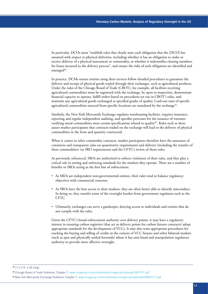In particular, DCOs must "establish rules that clearly state each obligation that the [DCO] has assumed with respect to physical deliveries, including whether it has an obligation to make or receive delivery of a physical instrument or commodity, or whether it indemnifies clearing members for losses incurred in the delivery process", and ensure the risks of each obligation are identified and managed<sup>44</sup>.

In practice, DCMs ensure entities using their services follow detailed procedures to guarantee the delivery and receipt of physical goods traded through their exchanges, such as agricultural products. Under the rules of the Chicago Board of Trade (CBOT), for example, all facilities receiving agricultural commodities must be registered with the exchange, be open to inspection, demonstrate financial capacity to operate, fulfill orders based on procedures set out in CBOT's rules, and maintain any agricultural goods exchanged at specified grades of quality. Load-out rates of specific agricultural commodities sourced from specific locations are mandated by the exchange<sup>45</sup>.

Similarly, the New York Mercantile Exchange regulates warehousing facilities, requires insurance, reporting and regular independent auditing, and specifies processes for the issuance of warrants verifying metal commodities meet certain specifications related to quality<sup>46</sup>. Rules such as these assure market participants that contracts traded on the exchange will lead to the delivery of physical commodities in the form and quantity contracted.

When it comes to other commodity contracts, market participants therefore have the assurance of consistent and transparent rules on quantitative requirements and delivery (including the transfer of these commodities) via SRO requirements and the CFTC's review of those rules.

As previously referenced, SROs are authorized to enforce violations of their rules, and they play a critical role in setting and enforcing standards for the markets they operate. There are a number of benefits to SROs acting as the first line of enforcement.

- As SROs are independent non-governmental entities, their rules tend to balance regulatory objectives with commercial concerns.
- As SROs have the best access to their markets, they are often better able to identify misconduct. In doing so, they transfer some of the oversight burden from government regulators such as the CFTC.
- Ultimately, exchanges can serve a gatekeeper, denying access to individuals and entities that do not comply with the rules.

Given the CFTC's broad enforcement authority over delivery points, it may have a regulatory interest in ensuring carbon registries (that act as delivery points for carbon futures contracts) adopt appropriate standards for the development of VCCs. It may also want appropriate procedures for tracking the buying and selling of credits in the context of VCC futures and other bilateral markets (such as spot and physically settled forwards) where it has anti-fraud and manipulation regulatory authority to provide more effective oversight.

46 New York Mercantile Exchange Rulebook, Chapter 7, [www.cmegroup.com/content/dam/cmegroup/rulebook/NYMEX/1/7.pdf](http://www.cmegroup.com/content/dam/cmegroup/rulebook/NYMEX/1/7.pdf)

<sup>44</sup>17 C.F.R. § 39.14(g)

<sup>45</sup>Chicago Board of Trade Rulebook, Chapter 7, [www.cmegroup.com/content/dam/cmegroup/rulebook/CBOT/I/7.pdf](http://www.cmegroup.com/content/dam/cmegroup/rulebook/CBOT/I/7.pdf)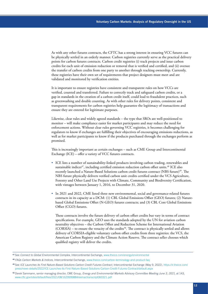As with any other futures contracts, the CFTC has a strong interest in ensuring VCC futures can be physically settled in an orderly manner. Carbon registries currently serve as the practical delivery points for carbon futures contracts. Carbon credit registries (i) track projects and issue carbon credits for each unit of emission reduction or removal that is verified and certified, and (ii) oversee the transfer of carbon credits from one party to another through tracking ownership. Currently, these registries have their own set of requirements that project designers must meet and are validated and monitored by verification entities.

It is important to ensure registries have consistent and transparent rules on how VCCs are verified, counted and transferred. Failure to correctly track and safeguard carbon credits, or a gap in standards in the creation of a carbon credit itself, could lead to fraudulent practices, such as greenwashing and double counting. As with other rules for delivery points, consistent and transparent requirements for carbon registries help guarantee the legitimacy of transactions and ensure they are entered for legitimate purposes.

Likewise, clear rules and widely agreed standards – the type that SROs are well-positioned to monitor – will make compliance easier for market participants and may reduce the need for enforcement actions. Without clear rules governing VCC registries, it becomes challenging for regulators to know if exchanges are fulfilling their objectives of encouraging emissions reductions, as well as for market participants to know if the products purchased through the exchanges perform as promised.

This is increasingly important as certain exchanges – such as CME Group and Intercontinental Exchange (ICE) – offer a variety of VCC futures contracts.

- ICE lists a number of sustainability-linked products involving carbon trading, renewables and sustainable indices<sup>47</sup>, including certified emission reduction carbon offset units.<sup>48</sup> ICE also recently launched a Nature-Based Solutions carbon credit futures contract (NBS future)<sup>49</sup>. The NBS future physically delivers verified carbon unit credits certified under the VCS Agriculture, Forestry and Other Land Use Projects with Climate, Community and Biodiversity Certification, with vintages between January 1, 2016, to December 31, 2020.
- In 2021 and 2022, CME listed three new environmental, social and governance-related futures contracts in its capacity as a DCM: (1) CBL Global Emissions Offset (GEO) futures; (2) Naturebased Global Emissions Offset (N-GEO) futures contracts; and (3) CBL Core Global Emissions Offset (CGO) futures.

These contracts involve the future delivery of carbon offset credits but vary in terms of contract specifications. For example, GEO uses the standards adopted by the UN for aviation carbon neutrality objectives – the Carbon Offset and Reduction Scheme for International Aviation (CORSIA) – to ensure the veracity of the credits<sup>50</sup>. The contract is physically settled and allows delivery of CORSIA-eligible voluntary carbon offset credits from three registries: the VCS, the American Carbon Registry and the Climate Action Reserve. The contract seller chooses which qualified registry will deliver the credits.

<sup>47</sup>See *Connect to Global Environmental Complex*, Intercontinental Exchange, [www.theice.com/energy/environmental](http://www.theice.com/energy/environmental)

<sup>48</sup>*FAQs Carbon Markets & Indices*, Intercontinental Exchange, [www.theice.com/carbon-terminology-and-product-faq](http://www.theice.com/carbon-terminology-and-product-faq)

<sup>49</sup>See *ICE Launches its First Nature-Based Solutions Carbon Credit Futures Contract*, Intercontinental Exchange (May 9, 2022), [https://ir.theice.com/](https://ir.theice.com/press/news-details/2022/ICE-Launches-its-First-Nature-Based-Solutions-Carbon-Credit-Futures-Contract/default.aspx) [press/news-details/2022/ICE-Launches-its-First-Nature-Based-Solutions-Carbon-Credit-Futures-Contract/default.aspx](https://ir.theice.com/press/news-details/2022/ICE-Launches-its-First-Nature-Based-Solutions-Carbon-Credit-Futures-Contract/default.aspx)

<sup>50</sup>Derek Sammann, senior managing director, CME Group, *Energy and Environmental Markets Advisory Committee Meeting June 3, 2021*, at 143, [www.cftc.gov/sites/default/files/2021/08/1629999884/eemactranscript060321.pdf](http://www.cftc.gov/sites/default/files/2021/08/1629999884/eemactranscript060321.pdf)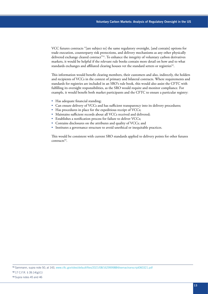VCC futures contracts "[are subject to] the same regulatory oversight, [and contain] options for trade execution, counterparty risk protections, and delivery mechanisms as any other physically delivered exchange cleared contract"<sup>51</sup>. To enhance the integrity of voluntary carbon derivatives markets, it would be helpful if the relevant rule books contain more detail on how and to what standards exchanges and affiliated clearing houses vet the standard setters or registries<sup>52</sup>.

This information would benefit clearing members, their customers and also, indirectly, the holders and recipients of VCCs in the context of primary and bilateral contracts. Where requirements and standards for registries are included in an SRO's rule book, this would also assist the CFTC with fulfilling its oversight responsibilities, as the SRO would require and monitor compliance. For example, it would benefit both market participants and the CFTC to ensure a particular registry:

- Has adequate financial standing;
- Can ensure delivery of VCCs and has sufficient transparency into its delivery procedures;
- Has procedures in place for the expeditious receipt of VCCs;
- Maintains sufficient records about all VCCs received and delivered;
- Establishes a notification process for failure to deliver VCCs;
- Contains disclosures on the attributes and quality of VCCs; and
- Institutes a governance structure to avoid unethical or inequitable practices.

This would be consistent with current SRO standards applied to delivery points for other futures contracts<sup>53</sup>.

<sup>51</sup> Sammann, supra note 50, at 143, [www.cftc.gov/sites/default/files/2021/08/1629999884/eemactranscript060321.pdf](http://www.cftc.gov/sites/default/files/2021/08/1629999884/eemactranscript060321.pdf)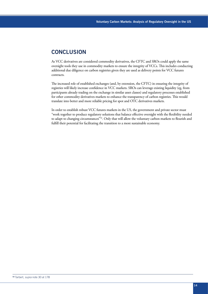## **CONCLUSION**

As VCC derivatives are considered commodity derivatives, the CFTC and SROs could apply the same oversight tools they use in commodity markets to ensure the integrity of VCCs. This includes conducting additional due diligence on carbon registries given they are used as delivery points for VCC futures contracts.

The increased role of established exchanges (and, by extension, the CFTC) in ensuring the integrity of registries will likely increase confidence in VCC markets. SROs can leverage existing liquidity (eg, from participants already trading on the exchange in similar asset classes) and regulatory processes established for other commodity derivatives markets to enhance the transparency of carbon registries. This would translate into better and more reliable pricing for spot and OTC derivatives markets.

In order to establish robust VCC futures markets in the US, the government and private sector must "work together to produce regulatory solutions that balance effective oversight with the flexibility needed to adapt to changing circumstances"<sup>54</sup>. Only that will allow the voluntary carbon markets to flourish and fulfill their potential for facilitating the transition to a more sustainable economy.